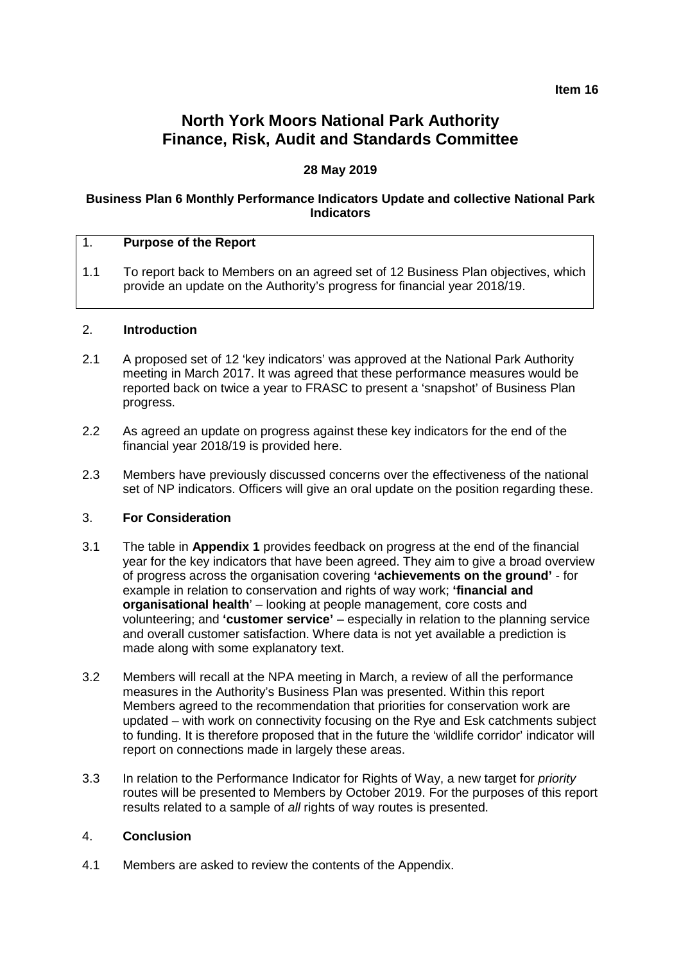**Item 16**

# **North York Moors National Park Authority Finance, Risk, Audit and Standards Committee**

# **28 May 2019**

#### **Business Plan 6 Monthly Performance Indicators Update and collective National Park Indicators**

| и. | <b>Purpose of the Report</b> |
|----|------------------------------|
|----|------------------------------|

1.1 To report back to Members on an agreed set of 12 Business Plan objectives, which provide an update on the Authority's progress for financial year 2018/19.

#### 2. **Introduction**

- 2.1 A proposed set of 12 'key indicators' was approved at the National Park Authority meeting in March 2017. It was agreed that these performance measures would be reported back on twice a year to FRASC to present a 'snapshot' of Business Plan progress.
- 2.2 As agreed an update on progress against these key indicators for the end of the financial year 2018/19 is provided here.
- 2.3 Members have previously discussed concerns over the effectiveness of the national set of NP indicators. Officers will give an oral update on the position regarding these.

#### 3. **For Consideration**

- 3.1 The table in **Appendix 1** provides feedback on progress at the end of the financial year for the key indicators that have been agreed. They aim to give a broad overview of progress across the organisation covering **'achievements on the ground'** - for example in relation to conservation and rights of way work; **'financial and organisational health**' – looking at people management, core costs and volunteering; and **'customer service'** – especially in relation to the planning service and overall customer satisfaction. Where data is not yet available a prediction is made along with some explanatory text.
- 3.2 Members will recall at the NPA meeting in March, a review of all the performance measures in the Authority's Business Plan was presented. Within this report Members agreed to the recommendation that priorities for conservation work are updated – with work on connectivity focusing on the Rye and Esk catchments subject to funding. It is therefore proposed that in the future the 'wildlife corridor' indicator will report on connections made in largely these areas.
- 3.3 In relation to the Performance Indicator for Rights of Way, a new target for *priority*  routes will be presented to Members by October 2019. For the purposes of this report results related to a sample of *all* rights of way routes is presented.

#### 4. **Conclusion**

4.1 Members are asked to review the contents of the Appendix.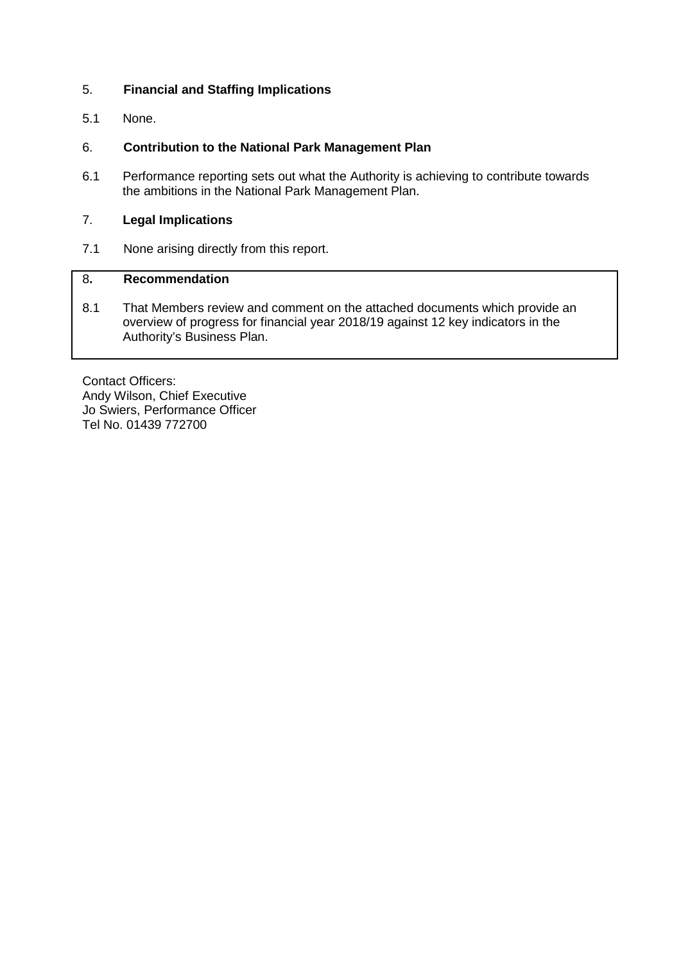# 5. **Financial and Staffing Implications**

5.1 None.

# 6. **Contribution to the National Park Management Plan**

6.1 Performance reporting sets out what the Authority is achieving to contribute towards the ambitions in the National Park Management Plan.

# 7. **Legal Implications**

7.1 None arising directly from this report.

# 8**. Recommendation**

8.1 That Members review and comment on the attached documents which provide an overview of progress for financial year 2018/19 against 12 key indicators in the Authority's Business Plan.

Contact Officers: Andy Wilson, Chief Executive Jo Swiers, Performance Officer Tel No. 01439 772700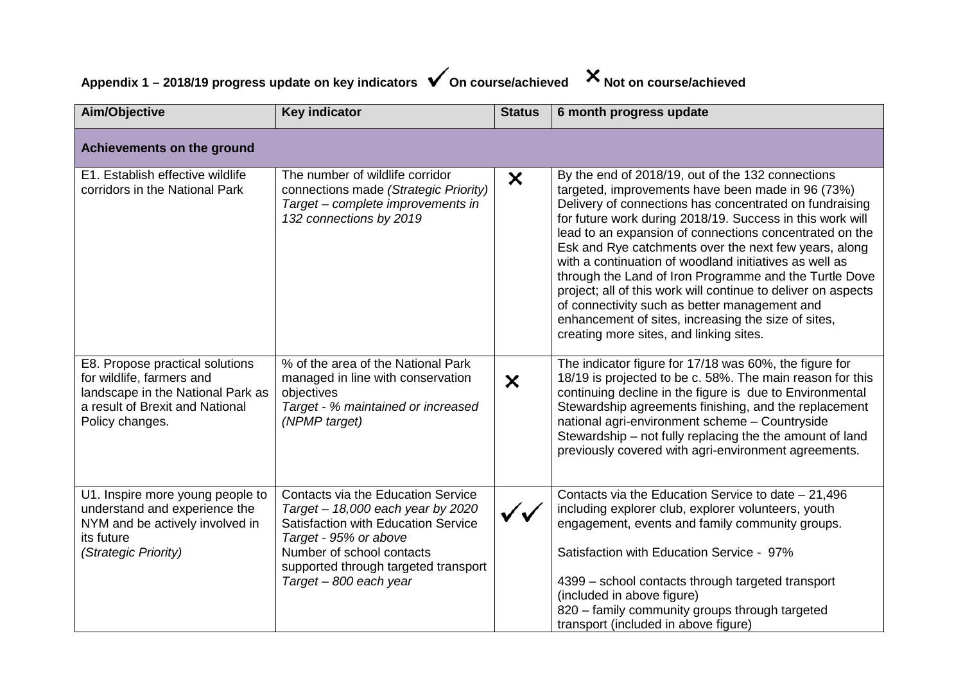# Appendix 1 – 2018/19 progress update on key indicators **√** On course/achieved X Not on course/achieved

| Aim/Objective                                                                                                                                           | <b>Key indicator</b>                                                                                                                                                                                                                                 | <b>Status</b>             | 6 month progress update                                                                                                                                                                                                                                                                                                                                                                                                                                                                                                                                                                                                                                                                    |  |  |  |
|---------------------------------------------------------------------------------------------------------------------------------------------------------|------------------------------------------------------------------------------------------------------------------------------------------------------------------------------------------------------------------------------------------------------|---------------------------|--------------------------------------------------------------------------------------------------------------------------------------------------------------------------------------------------------------------------------------------------------------------------------------------------------------------------------------------------------------------------------------------------------------------------------------------------------------------------------------------------------------------------------------------------------------------------------------------------------------------------------------------------------------------------------------------|--|--|--|
| Achievements on the ground                                                                                                                              |                                                                                                                                                                                                                                                      |                           |                                                                                                                                                                                                                                                                                                                                                                                                                                                                                                                                                                                                                                                                                            |  |  |  |
| E1. Establish effective wildlife<br>corridors in the National Park                                                                                      | The number of wildlife corridor<br>connections made (Strategic Priority)<br>Target - complete improvements in<br>132 connections by 2019                                                                                                             | $\boldsymbol{\mathsf{x}}$ | By the end of 2018/19, out of the 132 connections<br>targeted, improvements have been made in 96 (73%)<br>Delivery of connections has concentrated on fundraising<br>for future work during 2018/19. Success in this work will<br>lead to an expansion of connections concentrated on the<br>Esk and Rye catchments over the next few years, along<br>with a continuation of woodland initiatives as well as<br>through the Land of Iron Programme and the Turtle Dove<br>project; all of this work will continue to deliver on aspects<br>of connectivity such as better management and<br>enhancement of sites, increasing the size of sites,<br>creating more sites, and linking sites. |  |  |  |
| E8. Propose practical solutions<br>for wildlife, farmers and<br>landscape in the National Park as<br>a result of Brexit and National<br>Policy changes. | % of the area of the National Park<br>managed in line with conservation<br>objectives<br>Target - % maintained or increased<br>(NPMP target)                                                                                                         | ×                         | The indicator figure for 17/18 was 60%, the figure for<br>18/19 is projected to be c. 58%. The main reason for this<br>continuing decline in the figure is due to Environmental<br>Stewardship agreements finishing, and the replacement<br>national agri-environment scheme - Countryside<br>Stewardship – not fully replacing the the amount of land<br>previously covered with agri-environment agreements.                                                                                                                                                                                                                                                                             |  |  |  |
| U1. Inspire more young people to<br>understand and experience the<br>NYM and be actively involved in<br>its future<br>(Strategic Priority)              | <b>Contacts via the Education Service</b><br>Target - 18,000 each year by 2020<br><b>Satisfaction with Education Service</b><br>Target - 95% or above<br>Number of school contacts<br>supported through targeted transport<br>Target - 800 each year | $\checkmark$              | Contacts via the Education Service to date $-21,496$<br>including explorer club, explorer volunteers, youth<br>engagement, events and family community groups.<br>Satisfaction with Education Service - 97%<br>4399 - school contacts through targeted transport<br>(included in above figure)<br>820 - family community groups through targeted<br>transport (included in above figure)                                                                                                                                                                                                                                                                                                   |  |  |  |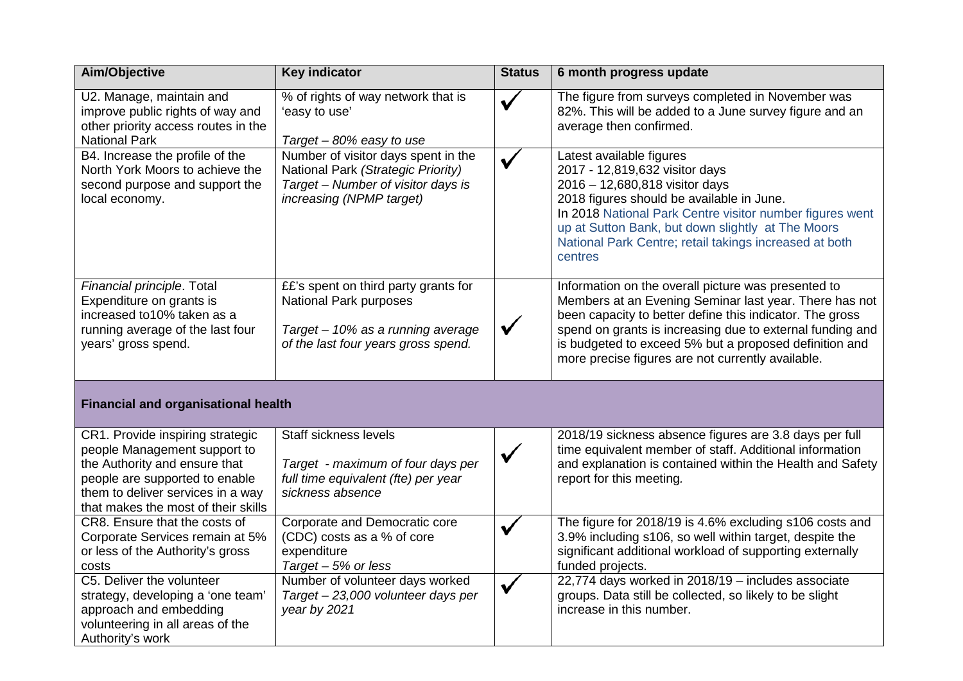| Aim/Objective                                                                                                                                                                                                   | <b>Key indicator</b>                                                                                                                              | <b>Status</b> | 6 month progress update                                                                                                                                                                                                                                                                                                                               |  |  |  |
|-----------------------------------------------------------------------------------------------------------------------------------------------------------------------------------------------------------------|---------------------------------------------------------------------------------------------------------------------------------------------------|---------------|-------------------------------------------------------------------------------------------------------------------------------------------------------------------------------------------------------------------------------------------------------------------------------------------------------------------------------------------------------|--|--|--|
| U2. Manage, maintain and<br>improve public rights of way and<br>other priority access routes in the<br><b>National Park</b>                                                                                     | % of rights of way network that is<br>'easy to use'<br>Target - 80% easy to use                                                                   | ✔             | The figure from surveys completed in November was<br>82%. This will be added to a June survey figure and an<br>average then confirmed.                                                                                                                                                                                                                |  |  |  |
| B4. Increase the profile of the<br>North York Moors to achieve the<br>second purpose and support the<br>local economy.                                                                                          | Number of visitor days spent in the<br>National Park (Strategic Priority)<br>Target - Number of visitor days is<br>increasing (NPMP target)       |               | Latest available figures<br>2017 - 12,819,632 visitor days<br>2016 - 12,680,818 visitor days<br>2018 figures should be available in June.<br>In 2018 National Park Centre visitor number figures went<br>up at Sutton Bank, but down slightly at The Moors<br>National Park Centre; retail takings increased at both<br>centres                       |  |  |  |
| Financial principle. Total<br>Expenditure on grants is<br>increased to 10% taken as a<br>running average of the last four<br>years' gross spend.                                                                | ££'s spent on third party grants for<br><b>National Park purposes</b><br>Target - 10% as a running average<br>of the last four years gross spend. | $\checkmark$  | Information on the overall picture was presented to<br>Members at an Evening Seminar last year. There has not<br>been capacity to better define this indicator. The gross<br>spend on grants is increasing due to external funding and<br>is budgeted to exceed 5% but a proposed definition and<br>more precise figures are not currently available. |  |  |  |
| <b>Financial and organisational health</b>                                                                                                                                                                      |                                                                                                                                                   |               |                                                                                                                                                                                                                                                                                                                                                       |  |  |  |
| CR1. Provide inspiring strategic<br>people Management support to<br>the Authority and ensure that<br>people are supported to enable<br>them to deliver services in a way<br>that makes the most of their skills | Staff sickness levels<br>Target - maximum of four days per<br>full time equivalent (fte) per year<br>sickness absence                             | ✓             | 2018/19 sickness absence figures are 3.8 days per full<br>time equivalent member of staff. Additional information<br>and explanation is contained within the Health and Safety<br>report for this meeting.                                                                                                                                            |  |  |  |
| CR8. Ensure that the costs of<br>Corporate Services remain at 5%<br>or less of the Authority's gross<br>costs                                                                                                   | Corporate and Democratic core<br>(CDC) costs as a % of core<br>expenditure<br>Target $-5%$ or less                                                |               | The figure for 2018/19 is 4.6% excluding s106 costs and<br>3.9% including s106, so well within target, despite the<br>significant additional workload of supporting externally<br>funded projects.                                                                                                                                                    |  |  |  |
| C5. Deliver the volunteer<br>strategy, developing a 'one team'<br>approach and embedding<br>volunteering in all areas of the<br>Authority's work                                                                | Number of volunteer days worked<br>Target - 23,000 volunteer days per<br>year by 2021                                                             |               | 22,774 days worked in 2018/19 - includes associate<br>groups. Data still be collected, so likely to be slight<br>increase in this number.                                                                                                                                                                                                             |  |  |  |